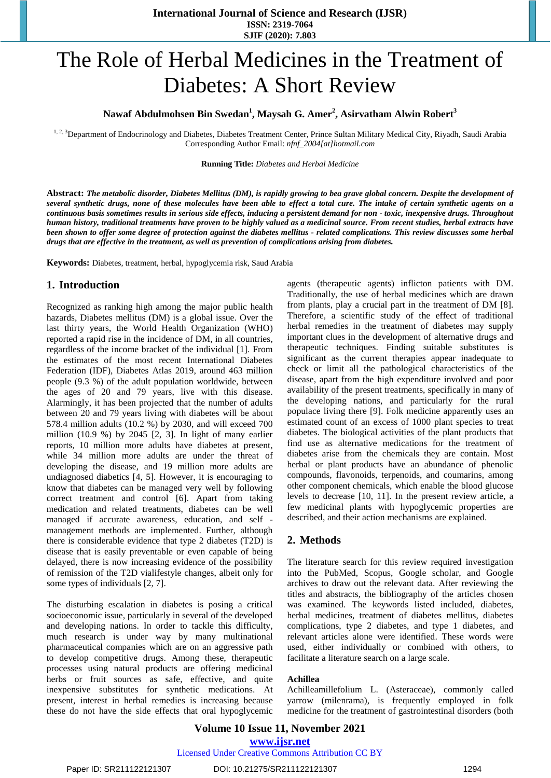# The Role of Herbal Medicines in the Treatment of Diabetes: A Short Review

# **Nawaf Abdulmohsen Bin Swedan<sup>1</sup> , Maysah G. Amer<sup>2</sup> , Asirvatham Alwin Robert<sup>3</sup>**

<sup>1, 2, 3</sup>Department of Endocrinology and Diabetes, Diabetes Treatment Center, Prince Sultan Military Medical City, Riyadh, Saudi Arabia Corresponding Author Email: *nfnf\_2004[at]hotmail.com*

#### **Running Title:** *Diabetes and Herbal Medicine*

Abstract: The metabolic disorder, Diabetes Mellitus (DM), is rapidly growing to bea grave global concern. Despite the development of several synthetic drugs, none of these molecules have been able to effect a total cure. The intake of certain synthetic agents on a continuous basis sometimes results in serious side effects, inducing a persistent demand for non - toxic, inexpensive drugs. Throughout human history, traditional treatments have proven to be highly valued as a medicinal source. From recent studies, herbal extracts have been shown to offer some degree of protection against the diabetes mellitus - related complications. This review discusses some herbal *drugs that are effective in the treatment, as well as prevention of complications arising from diabetes.* 

**Keywords:** Diabetes, treatment, herbal, hypoglycemia risk, Saud Arabia

## **1. Introduction**

Recognized as ranking high among the major public health hazards, Diabetes mellitus (DM) is a global issue. Over the last thirty years, the World Health Organization (WHO) reported a rapid rise in the incidence of DM, in all countries, regardless of the income bracket of the individual [1]. From the estimates of the most recent International Diabetes Federation (IDF), Diabetes Atlas 2019, around 463 million people (9.3 %) of the adult population worldwide, between the ages of 20 and 79 years, live with this disease. Alarmingly, it has been projected that the number of adults between 20 and 79 years living with diabetes will be about 578.4 million adults (10.2 %) by 2030, and will exceed 700 million (10.9 %) by 2045 [2, 3]. In light of many earlier reports, 10 million more adults have diabetes at present, while 34 million more adults are under the threat of developing the disease, and 19 million more adults are undiagnosed diabetics [4, 5]. However, it is encouraging to know that diabetes can be managed very well by following correct treatment and control [6]. Apart from taking medication and related treatments, diabetes can be well managed if accurate awareness, education, and self management methods are implemented. Further, although there is considerable evidence that type 2 diabetes (T2D) is disease that is easily preventable or even capable of being delayed, there is now increasing evidence of the possibility of remission of the T2D vialifestyle changes, albeit only for some types of individuals [2, 7].

The disturbing escalation in diabetes is posing a critical socioeconomic issue, particularly in several of the developed and developing nations. In order to tackle this difficulty, much research is under way by many multinational pharmaceutical companies which are on an aggressive path to develop competitive drugs. Among these, therapeutic processes using natural products are offering medicinal herbs or fruit sources as safe, effective, and quite inexpensive substitutes for synthetic medications. At present, interest in herbal remedies is increasing because these do not have the side effects that oral hypoglycemic agents (therapeutic agents) inflicton patients with DM. Traditionally, the use of herbal medicines which are drawn from plants, play a crucial part in the treatment of DM [8]. Therefore, a scientific study of the effect of traditional herbal remedies in the treatment of diabetes may supply important clues in the development of alternative drugs and therapeutic techniques. Finding suitable substitutes is significant as the current therapies appear inadequate to check or limit all the pathological characteristics of the disease, apart from the high expenditure involved and poor availability of the present treatments, specifically in many of the developing nations, and particularly for the rural populace living there [9]. Folk medicine apparently uses an estimated count of an excess of 1000 plant species to treat diabetes. The biological activities of the plant products that find use as alternative medications for the treatment of diabetes arise from the chemicals they are contain. Most herbal or plant products have an abundance of phenolic compounds, flavonoids, terpenoids, and coumarins, among other component chemicals, which enable the blood glucose levels to decrease [10, 11]. In the present review article, a few medicinal plants with hypoglycemic properties are described, and their action mechanisms are explained.

## **2. Methods**

The literature search for this review required investigation into the PubMed, Scopus, Google scholar, and Google archives to draw out the relevant data. After reviewing the titles and abstracts, the bibliography of the articles chosen was examined. The keywords listed included, diabetes, herbal medicines, treatment of diabetes mellitus, diabetes complications, type 2 diabetes, and type 1 diabetes, and relevant articles alone were identified. These words were used, either individually or combined with others, to facilitate a literature search on a large scale.

#### **Achillea**

Achilleamillefolium L. (Asteraceae), commonly called yarrow (milenrama), is frequently employed in folk medicine for the treatment of gastrointestinal disorders (both

## **Volume 10 Issue 11, November 2021 www.ijsr.net** Licensed Under Creative Commons Attribution CC BY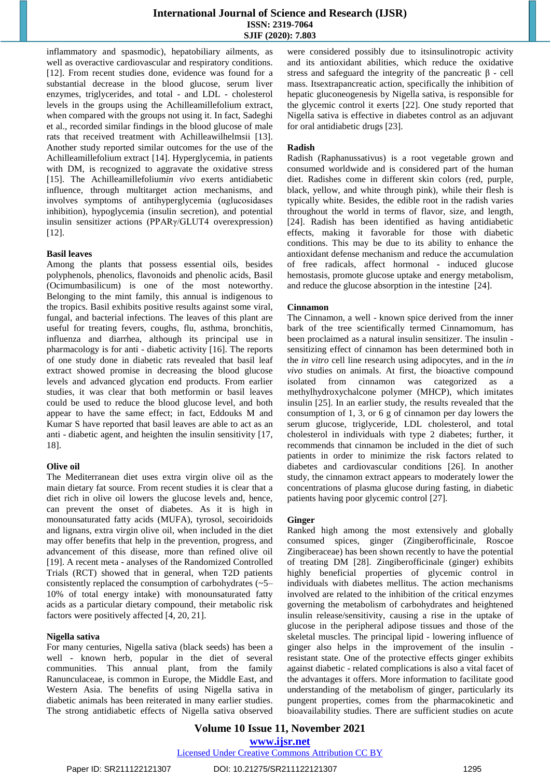## **International Journal of Science and Research (IJSR) ISSN: 2319-7064 SJIF (2020): 7.803**

inflammatory and spasmodic), hepatobiliary ailments, as well as overactive cardiovascular and respiratory conditions. [12]. From recent studies done, evidence was found for a substantial decrease in the blood glucose, serum liver enzymes, triglycerides, and total - and LDL - cholesterol levels in the groups using the Achilleamillefolium extract, when compared with the groups not using it. In fact, Sadeghi et al., recorded similar findings in the blood glucose of male rats that received treatment with Achilleawilhelmsii [13]. Another study reported similar outcomes for the use of the Achilleamillefolium extract [14]. Hyperglycemia, in patients with DM, is recognized to aggravate the oxidative stress [15]. The Achilleamillefolium*in vivo* exerts antidiabetic influence, through multitarget action mechanisms, and involves symptoms of antihyperglycemia (αglucosidases inhibition), hypoglycemia (insulin secretion), and potential insulin sensitizer actions (PPARγ/GLUT4 overexpression) [12].

#### **Basil leaves**

Among the plants that possess essential oils, besides polyphenols, phenolics, flavonoids and phenolic acids, Basil (Ocimumbasilicum) is one of the most noteworthy. Belonging to the mint family, this annual is indigenous to the tropics. Basil exhibits positive results against some viral, fungal, and bacterial infections. The leaves of this plant are useful for treating fevers, coughs, flu, asthma, bronchitis, influenza and diarrhea, although its principal use in pharmacology is for anti - diabetic activity [16]. The reports of one study done in diabetic rats revealed that basil leaf extract showed promise in decreasing the blood glucose levels and advanced glycation end products. From earlier studies, it was clear that both metformin or basil leaves could be used to reduce the blood glucose level, and both appear to have the same effect; in fact, Eddouks M and Kumar S have reported that basil leaves are able to act as an anti - diabetic agent, and heighten the insulin sensitivity [17, 18].

#### **Olive oil**

The Mediterranean diet uses extra virgin olive oil as the main dietary fat source. From recent studies it is clear that a diet rich in olive oil lowers the glucose levels and, hence, can prevent the onset of diabetes. As it is high in monounsaturated fatty acids (MUFA), tyrosol, secoiridoids and lignans, extra virgin olive oil, when included in the diet may offer benefits that help in the prevention, progress, and advancement of this disease, more than refined olive oil [19]. A recent meta - analyses of the Randomized Controlled Trials (RCT) showed that in general, when T2D patients consistently replaced the consumption of carbohydrates (~5– 10% of total energy intake) with monounsaturated fatty acids as a particular dietary compound, their metabolic risk factors were positively affected [4, 20, 21].

#### **Nigella sativa**

For many centuries, Nigella sativa (black seeds) has been a well - known herb, popular in the diet of several communities. This annual plant, from the family Ranunculaceae, is common in Europe, the Middle East, and Western Asia. The benefits of using Nigella sativa in diabetic animals has been reiterated in many earlier studies. The strong antidiabetic effects of Nigella sativa observed were considered possibly due to itsinsulinotropic activity and its antioxidant abilities, which reduce the oxidative stress and safeguard the integrity of the pancreatic  $\beta$  - cell mass. Itsextrapancreatic action, specifically the inhibition of hepatic gluconeogenesis by Nigella sativa, is responsible for the glycemic control it exerts [22]. One study reported that Nigella sativa is effective in diabetes control as an adjuvant for oral antidiabetic drugs [23].

#### **Radish**

Radish (Raphanussativus) is a root vegetable grown and consumed worldwide and is considered part of the human diet. Radishes come in different skin colors (red, purple, black, yellow, and white through pink), while their flesh is typically white. Besides, the edible root in the radish varies throughout the world in terms of flavor, size, and length, [24]. Radish has been identified as having antidiabetic effects, making it favorable for those with diabetic conditions. This may be due to its ability to enhance the antioxidant defense mechanism and reduce the accumulation of free radicals, affect hormonal - induced glucose hemostasis, promote glucose uptake and energy metabolism, and reduce the glucose absorption in the intestine [24].

#### **Cinnamon**

The Cinnamon, a well - known spice derived from the inner bark of the tree scientifically termed Cinnamomum, has been proclaimed as a natural insulin sensitizer. The insulin sensitizing effect of cinnamon has been determined both in the *in vitro* cell line research using adipocytes, and in the *in vivo* studies on animals. At first, the bioactive compound isolated from cinnamon was categorized as a methylhydroxychalcone polymer (MHCP), which imitates insulin [25]. In an earlier study, the results revealed that the consumption of 1, 3, or 6 g of cinnamon per day lowers the serum glucose, triglyceride, LDL cholesterol, and total cholesterol in individuals with type 2 diabetes; further, it recommends that cinnamon be included in the diet of such patients in order to minimize the risk factors related to diabetes and cardiovascular conditions [26]. In another study, the cinnamon extract appears to moderately lower the concentrations of plasma glucose during fasting, in diabetic patients having poor glycemic control [27].

#### **Ginger**

Ranked high among the most extensively and globally consumed spices, ginger (Zingiberofficinale, Roscoe Zingiberaceae) has been shown recently to have the potential of treating DM [28]. Zingiberofficinale (ginger) exhibits highly beneficial properties of glycemic control in individuals with diabetes mellitus. The action mechanisms involved are related to the inhibition of the critical enzymes governing the metabolism of carbohydrates and heightened insulin release/sensitivity, causing a rise in the uptake of glucose in the peripheral adipose tissues and those of the skeletal muscles. The principal lipid - lowering influence of ginger also helps in the improvement of the insulin resistant state. One of the protective effects ginger exhibits against diabetic - related complications is also a vital facet of the advantages it offers. More information to facilitate good understanding of the metabolism of ginger, particularly its pungent properties, comes from the pharmacokinetic and bioavailability studies. There are sufficient studies on acute

**Volume 10 Issue 11, November 2021 www.ijsr.net**

Licensed Under Creative Commons Attribution CC BY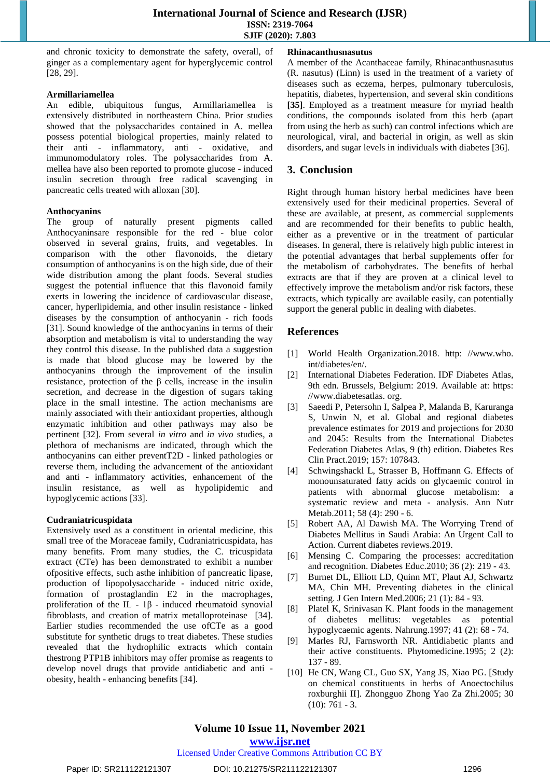and chronic toxicity to demonstrate the safety, overall, of ginger as a complementary agent for hyperglycemic control [28, 29].

#### **Armillariamellea**

An edible, ubiquitous fungus, Armillariamellea is extensively distributed in northeastern China. Prior studies showed that the polysaccharides contained in A. mellea possess potential biological properties, mainly related to their anti - inflammatory, anti - oxidative, and immunomodulatory roles. The polysaccharides from A. mellea have also been reported to promote glucose - induced insulin secretion through free radical scavenging in pancreatic cells treated with alloxan [30].

#### **Anthocyanins**

The group of naturally present pigments called Anthocyaninsare responsible for the red - blue color observed in several grains, fruits, and vegetables. In comparison with the other flavonoids, the dietary consumption of anthocyanins is on the high side, due of their wide distribution among the plant foods. Several studies suggest the potential influence that this flavonoid family exerts in lowering the incidence of cardiovascular disease, cancer, hyperlipidemia, and other insulin resistance - linked diseases by the consumption of anthocyanin - rich foods [31]. Sound knowledge of the anthocyanins in terms of their absorption and metabolism is vital to understanding the way they control this disease. In the published data a suggestion is made that blood glucose may be lowered by the anthocyanins through the improvement of the insulin resistance, protection of the β cells, increase in the insulin secretion, and decrease in the digestion of sugars taking place in the small intestine. The action mechanisms are mainly associated with their antioxidant properties, although enzymatic inhibition and other pathways may also be pertinent [32]. From several *in vitro* and *in vivo* studies, a plethora of mechanisms are indicated, through which the anthocyanins can either preventT2D - linked pathologies or reverse them, including the advancement of the antioxidant and anti - inflammatory activities, enhancement of the insulin resistance, as well as hypolipidemic and hypoglycemic actions [33].

#### **Cudraniatricuspidata**

Extensively used as a constituent in oriental medicine, this small tree of the Moraceae family, Cudraniatricuspidata, has many benefits. From many studies, the C. tricuspidata extract (CTe) has been demonstrated to exhibit a number ofpositive effects, such asthe inhibition of pancreatic lipase, production of lipopolysaccharide - induced nitric oxide, formation of prostaglandin E2 in the macrophages, proliferation of the IL - 1β - induced rheumatoid synovial fibroblasts, and creation of matrix metalloproteinase [34]. Earlier studies recommended the use ofCTe as a good substitute for synthetic drugs to treat diabetes. These studies revealed that the hydrophilic extracts which contain thestrong PTP1B inhibitors may offer promise as reagents to develop novel drugs that provide antidiabetic and anti obesity, health - enhancing benefits [34].

#### **Rhinacanthusnasutus**

A member of the Acanthaceae family, Rhinacanthusnasutus (R. nasutus) (Linn) is used in the treatment of a variety of diseases such as eczema, herpes, pulmonary tuberculosis, hepatitis, diabetes, hypertension, and several skin conditions **[35]**. Employed as a treatment measure for myriad health conditions, the compounds isolated from this herb (apart from using the herb as such) can control infections which are neurological, viral, and bacterial in origin, as well as skin disorders, and sugar levels in individuals with diabetes [36].

# **3. Conclusion**

Right through human history herbal medicines have been extensively used for their medicinal properties. Several of these are available, at present, as commercial supplements and are recommended for their benefits to public health, either as a preventive or in the treatment of particular diseases. In general, there is relatively high public interest in the potential advantages that herbal supplements offer for the metabolism of carbohydrates. The benefits of herbal extracts are that if they are proven at a clinical level to effectively improve the metabolism and/or risk factors, these extracts, which typically are available easily, can potentially support the general public in dealing with diabetes.

# **References**

- [1] World Health Organization.2018. [http: //www.who.](http://www.who.int/diabetes/en/)  [int/diabetes/en/.](http://www.who.int/diabetes/en/)
- [2] International Diabetes Federation. IDF Diabetes Atlas, 9th edn. Brussels, Belgium: 2019. Available at: https: /[/www.diabetesatlas. org.](http://www.diabetesatlas.org/)
- [3] Saeedi P, Petersohn I, Salpea P, Malanda B, Karuranga S, Unwin N, et al. Global and regional diabetes prevalence estimates for 2019 and projections for 2030 and 2045: Results from the International Diabetes Federation Diabetes Atlas, 9 (th) edition. Diabetes Res Clin Pract.2019; 157: 107843.
- [4] Schwingshackl L, Strasser B, Hoffmann G. Effects of monounsaturated fatty acids on glycaemic control in patients with abnormal glucose metabolism: a systematic review and meta - analysis. Ann Nutr Metab.2011; 58 (4): 290 - 6.
- [5] Robert AA, Al Dawish MA. The Worrying Trend of Diabetes Mellitus in Saudi Arabia: An Urgent Call to Action. Current diabetes reviews.2019.
- [6] Mensing C. Comparing the processes: accreditation and recognition. Diabetes Educ.2010; 36 (2): 219 - 43.
- [7] Burnet DL, Elliott LD, Quinn MT, Plaut AJ, Schwartz MA, Chin MH. Preventing diabetes in the clinical setting. J Gen Intern Med.2006; 21 (1): 84 - 93.
- [8] Platel K, Srinivasan K. Plant foods in the management of diabetes mellitus: vegetables as potential hypoglycaemic agents. Nahrung.1997; 41 (2): 68 - 74.
- [9] Marles RJ, Farnsworth NR. Antidiabetic plants and their active constituents. Phytomedicine.1995; 2 (2): 137 - 89.
- [10] He CN, Wang CL, Guo SX, Yang JS, Xiao PG. [Study on chemical constituents in herbs of Anoectochilus roxburghii II]. Zhongguo Zhong Yao Za Zhi.2005; 30  $(10): 761 - 3.$

# **Volume 10 Issue 11, November 2021**

**www.ijsr.net**

## Licensed Under Creative Commons Attribution CC BY